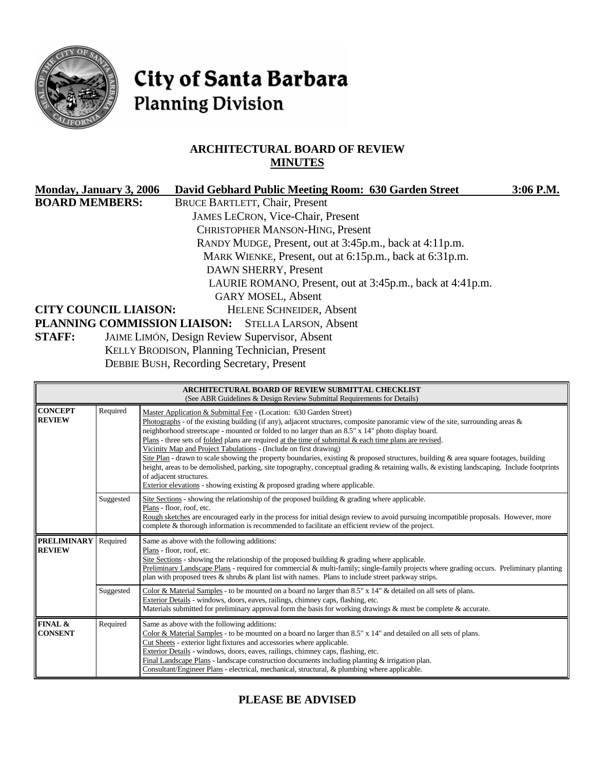

# City of Santa Barbara **Planning Division**

# **ARCHITECTURAL BOARD OF REVIEW MINUTES**

| Monday, January 3, 2006      | David Gebhard Public Meeting Room: 630 Garden Street      | 3:06 P.M. |
|------------------------------|-----------------------------------------------------------|-----------|
| <b>BOARD MEMBERS:</b>        | <b>BRUCE BARTLETT, Chair, Present</b>                     |           |
|                              | <b>JAMES LECRON, Vice-Chair, Present</b>                  |           |
|                              | CHRISTOPHER MANSON-HING, Present                          |           |
|                              | RANDY MUDGE, Present, out at 3:45p.m., back at 4:11p.m.   |           |
|                              | MARK WIENKE, Present, out at 6:15p.m., back at 6:31p.m.   |           |
|                              | DAWN SHERRY, Present                                      |           |
|                              | LAURIE ROMANO, Present, out at 3:45p.m., back at 4:41p.m. |           |
|                              | <b>GARY MOSEL, Absent</b>                                 |           |
| <b>CITY COUNCIL LIAISON:</b> | <b>HELENE SCHNEIDER, Absent</b>                           |           |
|                              | PLANNING COMMISSION LIAISON: STELLA LARSON, Absent        |           |
| <b>STAFF:</b>                | JAIME LIMÓN, Design Review Supervisor, Absent             |           |
|                              | <b>KELLY BRODISON, Planning Technician, Present</b>       |           |

DEBBIE BUSH, Recording Secretary, Present

|                                      |           | <b>ARCHITECTURAL BOARD OF REVIEW SUBMITTAL CHECKLIST</b><br>(See ABR Guidelines & Design Review Submittal Requirements for Details)                                                                                                                                                                                                                                                                                                                                                                                                                                                                                                                                                                                                                                                                                                                                                                  |
|--------------------------------------|-----------|------------------------------------------------------------------------------------------------------------------------------------------------------------------------------------------------------------------------------------------------------------------------------------------------------------------------------------------------------------------------------------------------------------------------------------------------------------------------------------------------------------------------------------------------------------------------------------------------------------------------------------------------------------------------------------------------------------------------------------------------------------------------------------------------------------------------------------------------------------------------------------------------------|
| <b>CONCEPT</b><br><b>REVIEW</b>      | Required  | Master Application & Submittal Fee - (Location: 630 Garden Street)<br>Photographs - of the existing building (if any), adjacent structures, composite panoramic view of the site, surrounding areas $\&$<br>neighborhood streetscape - mounted or folded to no larger than an 8.5" x 14" photo display board.<br>Plans - three sets of folded plans are required at the time of submittal $\&$ each time plans are revised.<br>Vicinity Map and Project Tabulations - (Include on first drawing)<br>Site Plan - drawn to scale showing the property boundaries, existing & proposed structures, building & area square footages, building<br>height, areas to be demolished, parking, site topography, conceptual grading & retaining walls, & existing landscaping. Include footprints<br>of adjacent structures.<br>Exterior elevations - showing existing $\&$ proposed grading where applicable. |
|                                      | Suggested | Site Sections - showing the relationship of the proposed building $\&$ grading where applicable.<br>Plans - floor, roof, etc.<br>Rough sketches are encouraged early in the process for initial design review to avoid pursuing incompatible proposals. However, more<br>complete & thorough information is recommended to facilitate an efficient review of the project.                                                                                                                                                                                                                                                                                                                                                                                                                                                                                                                            |
| <b>PRELIMINARY</b><br><b>REVIEW</b>  | Required  | Same as above with the following additions:<br>Plans - floor, roof, etc.<br>Site Sections - showing the relationship of the proposed building $\&$ grading where applicable.<br>Preliminary Landscape Plans - required for commercial & multi-family; single-family projects where grading occurs. Preliminary planting<br>plan with proposed trees $\&$ shrubs $\&$ plant list with names. Plans to include street parkway strips.                                                                                                                                                                                                                                                                                                                                                                                                                                                                  |
|                                      | Suggested | Color & Material Samples - to be mounted on a board no larger than 8.5" x 14" & detailed on all sets of plans.<br>Exterior Details - windows, doors, eaves, railings, chimney caps, flashing, etc.<br>Materials submitted for preliminary approval form the basis for working drawings & must be complete & accurate.                                                                                                                                                                                                                                                                                                                                                                                                                                                                                                                                                                                |
| <b>FINAL &amp;</b><br><b>CONSENT</b> | Required  | Same as above with the following additions:<br>Color & Material Samples - to be mounted on a board no larger than 8.5" x 14" and detailed on all sets of plans.<br>Cut Sheets - exterior light fixtures and accessories where applicable.<br>Exterior Details - windows, doors, eaves, railings, chimney caps, flashing, etc.<br>Final Landscape Plans - landscape construction documents including planting $\&$ irrigation plan.<br>Consultant/Engineer Plans - electrical, mechanical, structural, & plumbing where applicable.                                                                                                                                                                                                                                                                                                                                                                   |

**PLEASE BE ADVISED**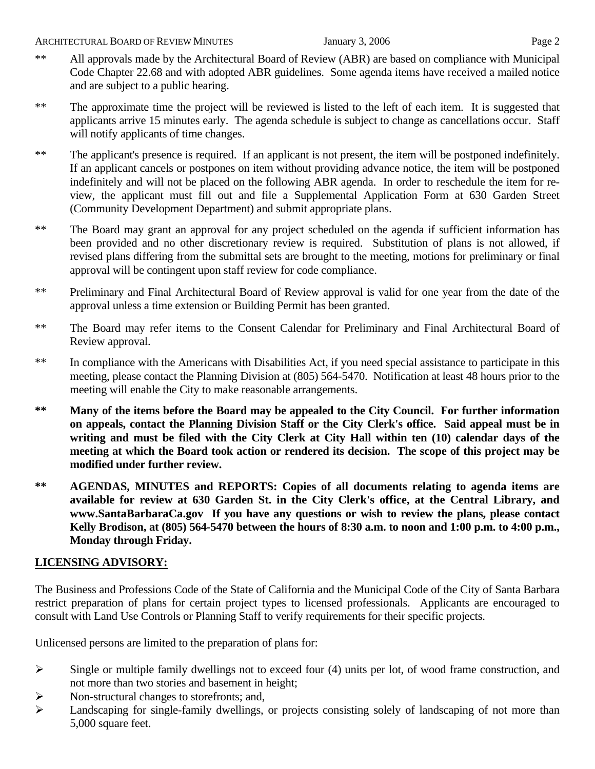- \*\* All approvals made by the Architectural Board of Review (ABR) are based on compliance with Municipal Code Chapter 22.68 and with adopted ABR guidelines. Some agenda items have received a mailed notice and are subject to a public hearing.
- \*\* The approximate time the project will be reviewed is listed to the left of each item. It is suggested that applicants arrive 15 minutes early. The agenda schedule is subject to change as cancellations occur. Staff will notify applicants of time changes.
- \*\* The applicant's presence is required. If an applicant is not present, the item will be postponed indefinitely. If an applicant cancels or postpones on item without providing advance notice, the item will be postponed indefinitely and will not be placed on the following ABR agenda. In order to reschedule the item for review, the applicant must fill out and file a Supplemental Application Form at 630 Garden Street (Community Development Department) and submit appropriate plans.
- \*\* The Board may grant an approval for any project scheduled on the agenda if sufficient information has been provided and no other discretionary review is required. Substitution of plans is not allowed, if revised plans differing from the submittal sets are brought to the meeting, motions for preliminary or final approval will be contingent upon staff review for code compliance.
- \*\* Preliminary and Final Architectural Board of Review approval is valid for one year from the date of the approval unless a time extension or Building Permit has been granted.
- \*\* The Board may refer items to the Consent Calendar for Preliminary and Final Architectural Board of Review approval.
- \*\* In compliance with the Americans with Disabilities Act, if you need special assistance to participate in this meeting, please contact the Planning Division at (805) 564-5470. Notification at least 48 hours prior to the meeting will enable the City to make reasonable arrangements.
- **\*\* Many of the items before the Board may be appealed to the City Council. For further information on appeals, contact the Planning Division Staff or the City Clerk's office. Said appeal must be in writing and must be filed with the City Clerk at City Hall within ten (10) calendar days of the meeting at which the Board took action or rendered its decision. The scope of this project may be modified under further review.**
- **\*\* AGENDAS, MINUTES and REPORTS: Copies of all documents relating to agenda items are available for review at 630 Garden St. in the City Clerk's office, at the Central Library, and [www.SantaBarbaraCa.gov](http://www.santabarbaraca.gov/) If you have any questions or wish to review the plans, please contact Kelly Brodison, at (805) 564-5470 between the hours of 8:30 a.m. to noon and 1:00 p.m. to 4:00 p.m., Monday through Friday.**

# **LICENSING ADVISORY:**

The Business and Professions Code of the State of California and the Municipal Code of the City of Santa Barbara restrict preparation of plans for certain project types to licensed professionals. Applicants are encouraged to consult with Land Use Controls or Planning Staff to verify requirements for their specific projects.

Unlicensed persons are limited to the preparation of plans for:

- $\triangleright$  Single or multiple family dwellings not to exceed four (4) units per lot, of wood frame construction, and not more than two stories and basement in height;
- ¾ Non-structural changes to storefronts; and,
- ¾ Landscaping for single-family dwellings, or projects consisting solely of landscaping of not more than 5,000 square feet.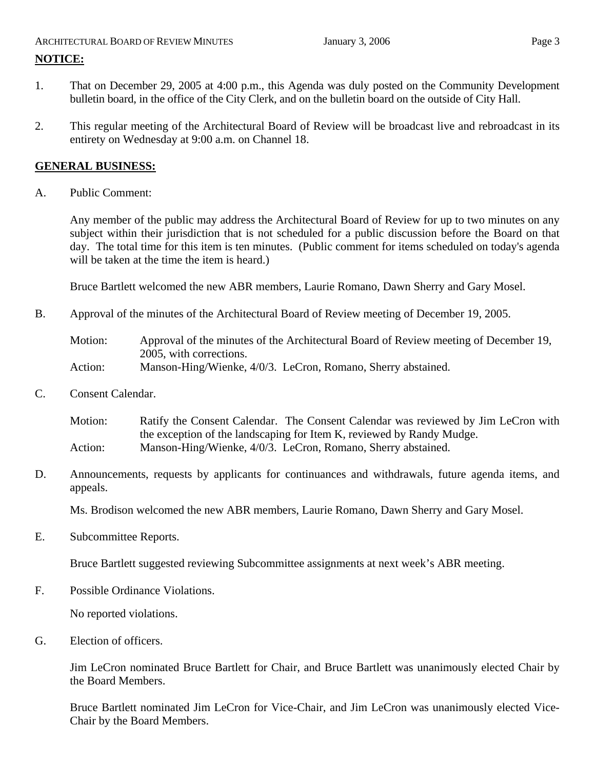# ARCHITECTURAL BOARD OF REVIEW MINUTES January 3, 2006 **Page 3 NOTICE:**

- 1. That on December 29, 2005 at 4:00 p.m., this Agenda was duly posted on the Community Development bulletin board, in the office of the City Clerk, and on the bulletin board on the outside of City Hall.
- 2. This regular meeting of the Architectural Board of Review will be broadcast live and rebroadcast in its entirety on Wednesday at 9:00 a.m. on Channel 18.

# **GENERAL BUSINESS:**

A. Public Comment:

Any member of the public may address the Architectural Board of Review for up to two minutes on any subject within their jurisdiction that is not scheduled for a public discussion before the Board on that day. The total time for this item is ten minutes. (Public comment for items scheduled on today's agenda will be taken at the time the item is heard.)

Bruce Bartlett welcomed the new ABR members, Laurie Romano, Dawn Sherry and Gary Mosel.

B. Approval of the minutes of the Architectural Board of Review meeting of December 19, 2005.

Motion: Approval of the minutes of the Architectural Board of Review meeting of December 19, 2005, with corrections. Action: Manson-Hing/Wienke, 4/0/3. LeCron, Romano, Sherry abstained.

C. Consent Calendar.

Motion: Ratify the Consent Calendar. The Consent Calendar was reviewed by Jim LeCron with the exception of the landscaping for Item K, reviewed by Randy Mudge. Action: Manson-Hing/Wienke, 4/0/3. LeCron, Romano, Sherry abstained.

D. Announcements, requests by applicants for continuances and withdrawals, future agenda items, and appeals.

Ms. Brodison welcomed the new ABR members, Laurie Romano, Dawn Sherry and Gary Mosel.

E. Subcommittee Reports.

Bruce Bartlett suggested reviewing Subcommittee assignments at next week's ABR meeting.

F. Possible Ordinance Violations.

No reported violations.

G. Election of officers.

Jim LeCron nominated Bruce Bartlett for Chair, and Bruce Bartlett was unanimously elected Chair by the Board Members.

Bruce Bartlett nominated Jim LeCron for Vice-Chair, and Jim LeCron was unanimously elected Vice-Chair by the Board Members.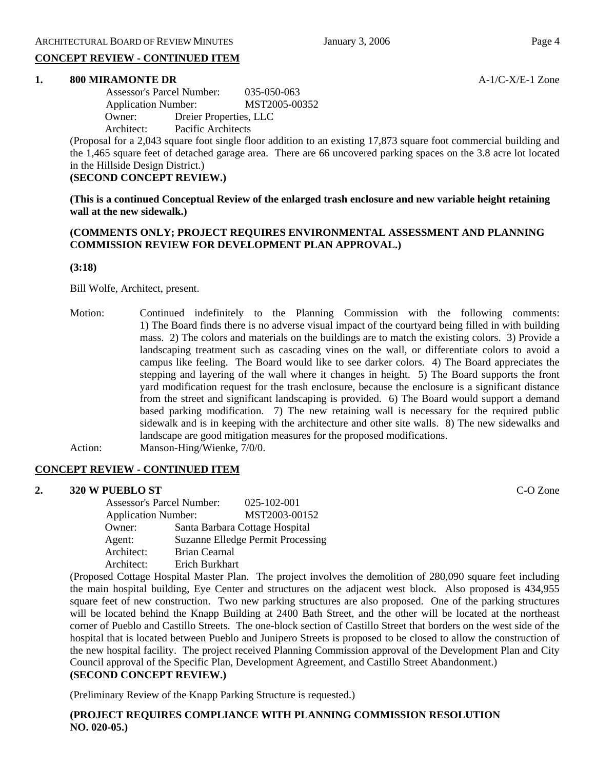# **CONCEPT REVIEW - CONTINUED ITEM**

# **1. 800 MIRAMONTE DR A-1/C-X/E-1 Zone**

 Assessor's Parcel Number: 035-050-063 Application Number: MST2005-00352 Owner: Dreier Properties, LLC Architect: Pacific Architects

(Proposal for a 2,043 square foot single floor addition to an existing 17,873 square foot commercial building and the 1,465 square feet of detached garage area. There are 66 uncovered parking spaces on the 3.8 acre lot located in the Hillside Design District.)

# **(SECOND CONCEPT REVIEW.)**

**(This is a continued Conceptual Review of the enlarged trash enclosure and new variable height retaining wall at the new sidewalk.)** 

# **(COMMENTS ONLY; PROJECT REQUIRES ENVIRONMENTAL ASSESSMENT AND PLANNING COMMISSION REVIEW FOR DEVELOPMENT PLAN APPROVAL.)**

# **(3:18)**

Bill Wolfe, Architect, present.

Motion: Continued indefinitely to the Planning Commission with the following comments: 1) The Board finds there is no adverse visual impact of the courtyard being filled in with building mass. 2) The colors and materials on the buildings are to match the existing colors. 3) Provide a landscaping treatment such as cascading vines on the wall, or differentiate colors to avoid a campus like feeling. The Board would like to see darker colors. 4) The Board appreciates the stepping and layering of the wall where it changes in height. 5) The Board supports the front yard modification request for the trash enclosure, because the enclosure is a significant distance from the street and significant landscaping is provided. 6) The Board would support a demand based parking modification. 7) The new retaining wall is necessary for the required public sidewalk and is in keeping with the architecture and other site walls. 8) The new sidewalks and landscape are good mitigation measures for the proposed modifications. Action: Manson-Hing/Wienke, 7/0/0.

# **CONCEPT REVIEW - CONTINUED ITEM**

# **2. 320 W PUEBLO ST** C-O Zone Assessor's Parcel Number: 025-102-001 Application Number: MST2003-00152 Owner: Santa Barbara Cottage Hospital Agent: Suzanne Elledge Permit Processing

 Architect: Brian Cearnal Architect: Erich Burkhart

(Proposed Cottage Hospital Master Plan. The project involves the demolition of 280,090 square feet including the main hospital building, Eye Center and structures on the adjacent west block. Also proposed is 434,955 square feet of new construction. Two new parking structures are also proposed. One of the parking structures will be located behind the Knapp Building at 2400 Bath Street, and the other will be located at the northeast corner of Pueblo and Castillo Streets. The one-block section of Castillo Street that borders on the west side of the hospital that is located between Pueblo and Junipero Streets is proposed to be closed to allow the construction of the new hospital facility. The project received Planning Commission approval of the Development Plan and City Council approval of the Specific Plan, Development Agreement, and Castillo Street Abandonment.) **(SECOND CONCEPT REVIEW.)** 

(Preliminary Review of the Knapp Parking Structure is requested.)

**(PROJECT REQUIRES COMPLIANCE WITH PLANNING COMMISSION RESOLUTION NO. 020-05.)**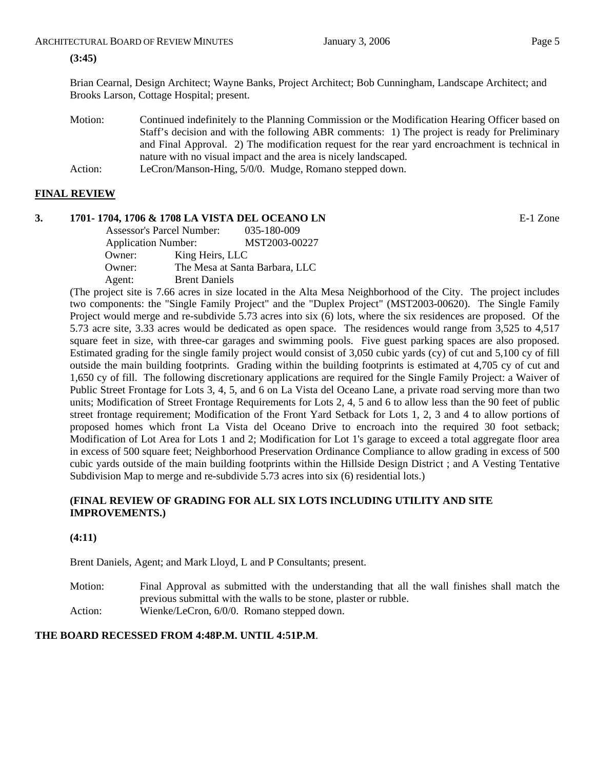# **(3:45)**

Brian Cearnal, Design Architect; Wayne Banks, Project Architect; Bob Cunningham, Landscape Architect; and Brooks Larson, Cottage Hospital; present.

- Motion: Continued indefinitely to the Planning Commission or the Modification Hearing Officer based on Staff's decision and with the following ABR comments: 1) The project is ready for Preliminary and Final Approval. 2) The modification request for the rear yard encroachment is technical in nature with no visual impact and the area is nicely landscaped.
- Action: LeCron/Manson-Hing, 5/0/0. Mudge, Romano stepped down.

# **FINAL REVIEW**

# **3. 1701- 1704, 1706 & 1708 LA VISTA DEL OCEANO LN** E-1 Zone

 Assessor's Parcel Number: 035-180-009 Application Number: MST2003-00227 Owner: King Heirs, LLC Owner: The Mesa at Santa Barbara, LLC Agent: Brent Daniels

(The project site is 7.66 acres in size located in the Alta Mesa Neighborhood of the City. The project includes two components: the "Single Family Project" and the "Duplex Project" (MST2003-00620). The Single Family Project would merge and re-subdivide 5.73 acres into six (6) lots, where the six residences are proposed. Of the 5.73 acre site, 3.33 acres would be dedicated as open space. The residences would range from 3,525 to 4,517 square feet in size, with three-car garages and swimming pools. Five guest parking spaces are also proposed. Estimated grading for the single family project would consist of 3,050 cubic yards (cy) of cut and 5,100 cy of fill outside the main building footprints. Grading within the building footprints is estimated at 4,705 cy of cut and 1,650 cy of fill. The following discretionary applications are required for the Single Family Project: a Waiver of Public Street Frontage for Lots 3, 4, 5, and 6 on La Vista del Oceano Lane, a private road serving more than two units; Modification of Street Frontage Requirements for Lots 2, 4, 5 and 6 to allow less than the 90 feet of public street frontage requirement; Modification of the Front Yard Setback for Lots 1, 2, 3 and 4 to allow portions of proposed homes which front La Vista del Oceano Drive to encroach into the required 30 foot setback; Modification of Lot Area for Lots 1 and 2; Modification for Lot 1's garage to exceed a total aggregate floor area in excess of 500 square feet; Neighborhood Preservation Ordinance Compliance to allow grading in excess of 500 cubic yards outside of the main building footprints within the Hillside Design District ; and A Vesting Tentative Subdivision Map to merge and re-subdivide 5.73 acres into six (6) residential lots.)

# **(FINAL REVIEW OF GRADING FOR ALL SIX LOTS INCLUDING UTILITY AND SITE IMPROVEMENTS.)**

# **(4:11)**

Brent Daniels, Agent; and Mark Lloyd, L and P Consultants; present.

Motion: Final Approval as submitted with the understanding that all the wall finishes shall match the previous submittal with the walls to be stone, plaster or rubble. Action: Wienke/LeCron, 6/0/0. Romano stepped down.

# **THE BOARD RECESSED FROM 4:48P.M. UNTIL 4:51P.M**.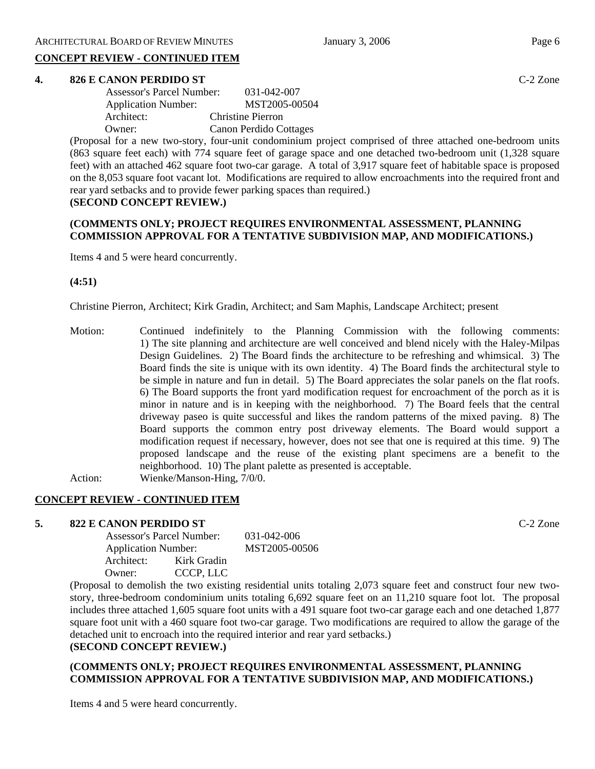# **CONCEPT REVIEW - CONTINUED ITEM**

# **4. 826 E CANON PERDIDO ST** C-2 Zone

| <b>Assessor's Parcel Number:</b> | 031-042-007              |
|----------------------------------|--------------------------|
| <b>Application Number:</b>       | MST2005-00504            |
| Architect:                       | <b>Christine Pierron</b> |
| Owner:                           | Canon Perdido Cottages   |
|                                  |                          |

(Proposal for a new two-story, four-unit condominium project comprised of three attached one-bedroom units (863 square feet each) with 774 square feet of garage space and one detached two-bedroom unit (1,328 square feet) with an attached 462 square foot two-car garage. A total of 3,917 square feet of habitable space is proposed on the 8,053 square foot vacant lot. Modifications are required to allow encroachments into the required front and rear yard setbacks and to provide fewer parking spaces than required.)

# **(SECOND CONCEPT REVIEW.)**

# **(COMMENTS ONLY; PROJECT REQUIRES ENVIRONMENTAL ASSESSMENT, PLANNING COMMISSION APPROVAL FOR A TENTATIVE SUBDIVISION MAP, AND MODIFICATIONS.)**

Items 4 and 5 were heard concurrently.

# **(4:51)**

Christine Pierron, Architect; Kirk Gradin, Architect; and Sam Maphis, Landscape Architect; present

Motion: Continued indefinitely to the Planning Commission with the following comments: 1) The site planning and architecture are well conceived and blend nicely with the Haley-Milpas Design Guidelines. 2) The Board finds the architecture to be refreshing and whimsical. 3) The Board finds the site is unique with its own identity. 4) The Board finds the architectural style to be simple in nature and fun in detail. 5) The Board appreciates the solar panels on the flat roofs. 6) The Board supports the front yard modification request for encroachment of the porch as it is minor in nature and is in keeping with the neighborhood. 7) The Board feels that the central driveway paseo is quite successful and likes the random patterns of the mixed paving. 8) The Board supports the common entry post driveway elements. The Board would support a modification request if necessary, however, does not see that one is required at this time. 9) The proposed landscape and the reuse of the existing plant specimens are a benefit to the neighborhood. 10) The plant palette as presented is acceptable. Action: Wienke/Manson-Hing, 7/0/0.

# **CONCEPT REVIEW - CONTINUED ITEM**

# **5. 822 E CANON PERDIDO ST** C-2 Zone

|            | Assessor's Parcel Number:  |  |
|------------|----------------------------|--|
|            | <b>Application Number:</b> |  |
| Architect: | Kirk Gradin                |  |
| Owner:     | CCCP. LLC                  |  |

(Proposal to demolish the two existing residential units totaling 2,073 square feet and construct four new twostory, three-bedroom condominium units totaling 6,692 square feet on an 11,210 square foot lot. The proposal includes three attached 1,605 square foot units with a 491 square foot two-car garage each and one detached 1,877 square foot unit with a 460 square foot two-car garage. Two modifications are required to allow the garage of the detached unit to encroach into the required interior and rear yard setbacks.)

# **(SECOND CONCEPT REVIEW.)**

# **(COMMENTS ONLY; PROJECT REQUIRES ENVIRONMENTAL ASSESSMENT, PLANNING COMMISSION APPROVAL FOR A TENTATIVE SUBDIVISION MAP, AND MODIFICATIONS.)**

Items 4 and 5 were heard concurrently.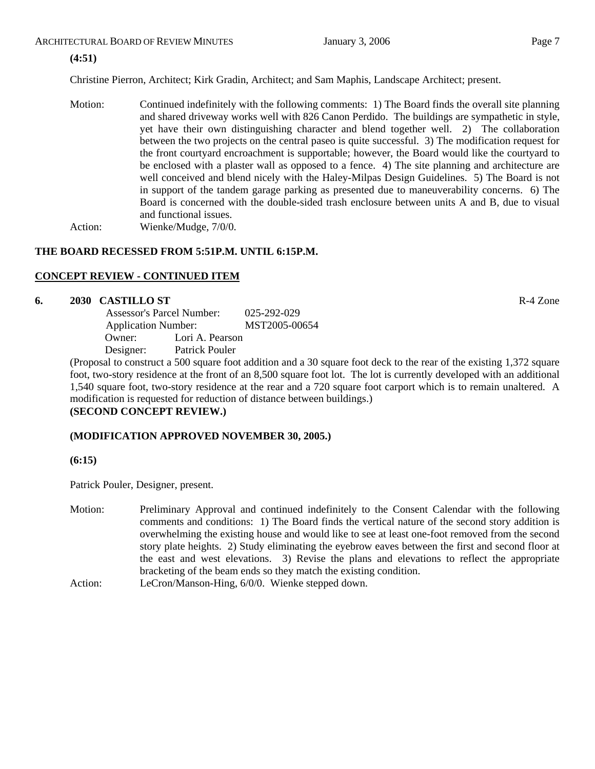# ARCHITECTURAL BOARD OF REVIEW MINUTES January 3, 2006 **Page 7** Page 7

# **(4:51)**

Christine Pierron, Architect; Kirk Gradin, Architect; and Sam Maphis, Landscape Architect; present.

Motion: Continued indefinitely with the following comments: 1) The Board finds the overall site planning and shared driveway works well with 826 Canon Perdido. The buildings are sympathetic in style, yet have their own distinguishing character and blend together well. 2) The collaboration between the two projects on the central paseo is quite successful. 3) The modification request for the front courtyard encroachment is supportable; however, the Board would like the courtyard to be enclosed with a plaster wall as opposed to a fence. 4) The site planning and architecture are well conceived and blend nicely with the Haley-Milpas Design Guidelines. 5) The Board is not in support of the tandem garage parking as presented due to maneuverability concerns. 6) The Board is concerned with the double-sided trash enclosure between units A and B, due to visual and functional issues. Action: Wienke/Mudge,  $7/0/0$ .

# **THE BOARD RECESSED FROM 5:51P.M. UNTIL 6:15P.M.**

# **CONCEPT REVIEW - CONTINUED ITEM**

# **6. 2030 CASTILLO ST** R-4 Zone

|                            | 025-292-029<br><b>Assessor's Parcel Number:</b> |               |
|----------------------------|-------------------------------------------------|---------------|
| <b>Application Number:</b> |                                                 | MST2005-00654 |
| Owner:                     | Lori A. Pearson                                 |               |
| Designer:                  | Patrick Pouler                                  |               |

(Proposal to construct a 500 square foot addition and a 30 square foot deck to the rear of the existing 1,372 square foot, two-story residence at the front of an 8,500 square foot lot. The lot is currently developed with an additional 1,540 square foot, two-story residence at the rear and a 720 square foot carport which is to remain unaltered. A modification is requested for reduction of distance between buildings.)

# **(SECOND CONCEPT REVIEW.)**

# **(MODIFICATION APPROVED NOVEMBER 30, 2005.)**

**(6:15)** 

Patrick Pouler, Designer, present.

- Motion: Preliminary Approval and continued indefinitely to the Consent Calendar with the following comments and conditions: 1) The Board finds the vertical nature of the second story addition is overwhelming the existing house and would like to see at least one-foot removed from the second story plate heights. 2) Study eliminating the eyebrow eaves between the first and second floor at the east and west elevations. 3) Revise the plans and elevations to reflect the appropriate bracketing of the beam ends so they match the existing condition.
- Action: LeCron/Manson-Hing, 6/0/0. Wienke stepped down.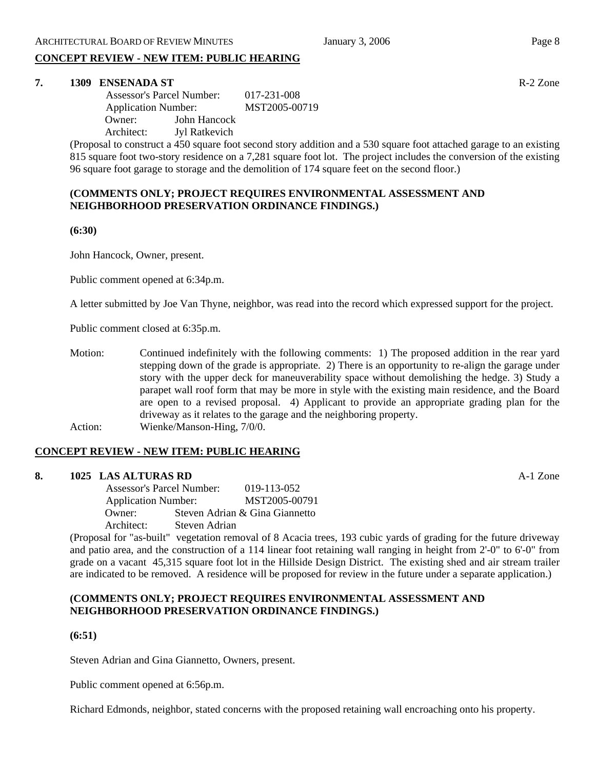# **CONCEPT REVIEW - NEW ITEM: PUBLIC HEARING**

# **7. 1309 ENSENADA ST R-2 Zone**

 Assessor's Parcel Number: 017-231-008 Application Number: MST2005-00719 Owner: John Hancock Architect: Jyl Ratkevich

(Proposal to construct a 450 square foot second story addition and a 530 square foot attached garage to an existing 815 square foot two-story residence on a 7,281 square foot lot. The project includes the conversion of the existing 96 square foot garage to storage and the demolition of 174 square feet on the second floor.)

# **(COMMENTS ONLY; PROJECT REQUIRES ENVIRONMENTAL ASSESSMENT AND NEIGHBORHOOD PRESERVATION ORDINANCE FINDINGS.)**

**(6:30)**

John Hancock, Owner, present.

Public comment opened at 6:34p.m.

A letter submitted by Joe Van Thyne, neighbor, was read into the record which expressed support for the project.

Public comment closed at 6:35p.m.

Motion: Continued indefinitely with the following comments: 1) The proposed addition in the rear yard stepping down of the grade is appropriate. 2) There is an opportunity to re-align the garage under story with the upper deck for maneuverability space without demolishing the hedge. 3) Study a parapet wall roof form that may be more in style with the existing main residence, and the Board are open to a revised proposal. 4) Applicant to provide an appropriate grading plan for the driveway as it relates to the garage and the neighboring property. Action: Wienke/Manson-Hing, 7/0/0.

# **CONCEPT REVIEW - NEW ITEM: PUBLIC HEARING**

# **8. 1025 LAS ALTURAS RD** A-1 Zone

 Assessor's Parcel Number: 019-113-052 Application Number: MST2005-00791<br>Owner: Steven Adrian & Gina Giannetto Steven Adrian & Gina Giannetto Architect: Steven Adrian

(Proposal for "as-built" vegetation removal of 8 Acacia trees, 193 cubic yards of grading for the future driveway and patio area, and the construction of a 114 linear foot retaining wall ranging in height from 2'-0" to 6'-0" from grade on a vacant 45,315 square foot lot in the Hillside Design District. The existing shed and air stream trailer are indicated to be removed. A residence will be proposed for review in the future under a separate application.)

# **(COMMENTS ONLY; PROJECT REQUIRES ENVIRONMENTAL ASSESSMENT AND NEIGHBORHOOD PRESERVATION ORDINANCE FINDINGS.)**

**(6:51)** 

Steven Adrian and Gina Giannetto, Owners, present.

Public comment opened at 6:56p.m.

Richard Edmonds, neighbor, stated concerns with the proposed retaining wall encroaching onto his property.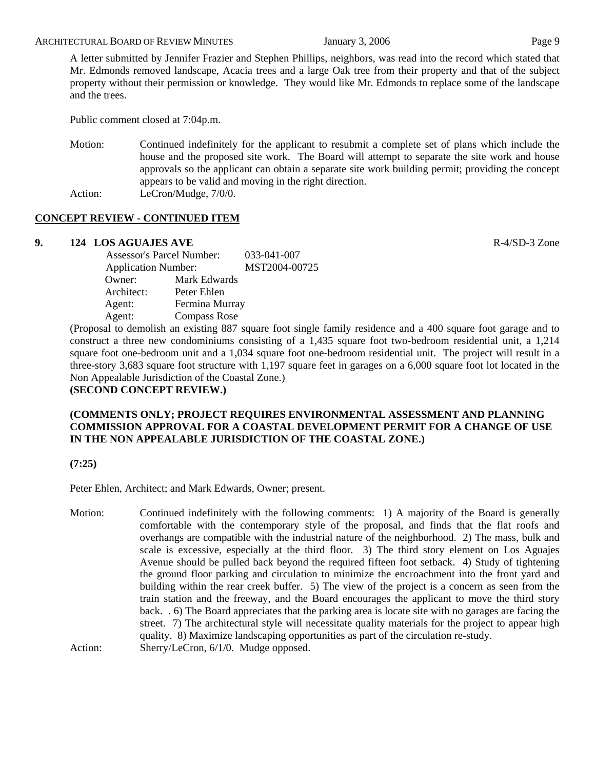A letter submitted by Jennifer Frazier and Stephen Phillips, neighbors, was read into the record which stated that Mr. Edmonds removed landscape, Acacia trees and a large Oak tree from their property and that of the subject property without their permission or knowledge. They would like Mr. Edmonds to replace some of the landscape and the trees.

Public comment closed at 7:04p.m.

Motion: Continued indefinitely for the applicant to resubmit a complete set of plans which include the house and the proposed site work. The Board will attempt to separate the site work and house approvals so the applicant can obtain a separate site work building permit; providing the concept appears to be valid and moving in the right direction. Action: LeCron/Mudge, 7/0/0.

# **CONCEPT REVIEW - CONTINUED ITEM**

# **9. 124 LOS AGUAJES AVE** R-4/SD-3 Zone

| <b>Assessor's Parcel Number:</b> |                     | 033-041-007   |
|----------------------------------|---------------------|---------------|
| <b>Application Number:</b>       |                     | MST2004-00725 |
| Owner:                           | Mark Edwards        |               |
| Architect:                       | Peter Ehlen         |               |
| Agent:                           | Fermina Murray      |               |
| Agent:                           | <b>Compass Rose</b> |               |
|                                  |                     |               |

(Proposal to demolish an existing 887 square foot single family residence and a 400 square foot garage and to construct a three new condominiums consisting of a 1,435 square foot two-bedroom residential unit, a 1,214 square foot one-bedroom unit and a 1,034 square foot one-bedroom residential unit. The project will result in a three-story 3,683 square foot structure with 1,197 square feet in garages on a 6,000 square foot lot located in the Non Appealable Jurisdiction of the Coastal Zone.) **(SECOND CONCEPT REVIEW.)** 

# **(COMMENTS ONLY; PROJECT REQUIRES ENVIRONMENTAL ASSESSMENT AND PLANNING COMMISSION APPROVAL FOR A COASTAL DEVELOPMENT PERMIT FOR A CHANGE OF USE IN THE NON APPEALABLE JURISDICTION OF THE COASTAL ZONE.)**

**(7:25)**

Peter Ehlen, Architect; and Mark Edwards, Owner; present.

Motion: Continued indefinitely with the following comments: 1) A majority of the Board is generally comfortable with the contemporary style of the proposal, and finds that the flat roofs and overhangs are compatible with the industrial nature of the neighborhood. 2) The mass, bulk and scale is excessive, especially at the third floor. 3) The third story element on Los Aguajes Avenue should be pulled back beyond the required fifteen foot setback. 4) Study of tightening the ground floor parking and circulation to minimize the encroachment into the front yard and building within the rear creek buffer. 5) The view of the project is a concern as seen from the train station and the freeway, and the Board encourages the applicant to move the third story back. . 6) The Board appreciates that the parking area is locate site with no garages are facing the street. 7) The architectural style will necessitate quality materials for the project to appear high quality. 8) Maximize landscaping opportunities as part of the circulation re-study. Action: Sherry/LeCron, 6/1/0. Mudge opposed.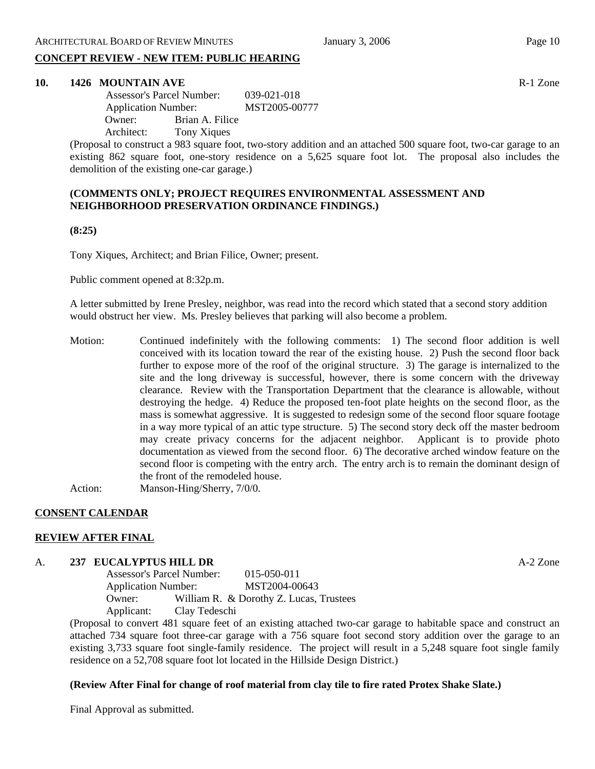# **CONCEPT REVIEW - NEW ITEM: PUBLIC HEARING**

# **10. 1426 MOUNTAIN AVE** R-1 Zone

 Assessor's Parcel Number: 039-021-018 Application Number: MST2005-00777 Owner: Brian A. Filice Architect: Tony Xiques

(Proposal to construct a 983 square foot, two-story addition and an attached 500 square foot, two-car garage to an existing 862 square foot, one-story residence on a 5,625 square foot lot. The proposal also includes the demolition of the existing one-car garage.)

# **(COMMENTS ONLY; PROJECT REQUIRES ENVIRONMENTAL ASSESSMENT AND NEIGHBORHOOD PRESERVATION ORDINANCE FINDINGS.)**

**(8:25)**

Tony Xiques, Architect; and Brian Filice, Owner; present.

Public comment opened at 8:32p.m.

A letter submitted by Irene Presley, neighbor, was read into the record which stated that a second story addition would obstruct her view. Ms. Presley believes that parking will also become a problem.

- Motion: Continued indefinitely with the following comments: 1) The second floor addition is well conceived with its location toward the rear of the existing house. 2) Push the second floor back further to expose more of the roof of the original structure. 3) The garage is internalized to the site and the long driveway is successful, however, there is some concern with the driveway clearance. Review with the Transportation Department that the clearance is allowable, without destroying the hedge. 4) Reduce the proposed ten-foot plate heights on the second floor, as the mass is somewhat aggressive. It is suggested to redesign some of the second floor square footage in a way more typical of an attic type structure. 5) The second story deck off the master bedroom may create privacy concerns for the adjacent neighbor. Applicant is to provide photo documentation as viewed from the second floor. 6) The decorative arched window feature on the second floor is competing with the entry arch. The entry arch is to remain the dominant design of the front of the remodeled house.
- Action: Manson-Hing/Sherry, 7/0/0.

# **CONSENT CALENDAR**

# **REVIEW AFTER FINAL**

# A. **237 EUCALYPTUS HILL DR** A-2 Zone

Assessor's Parcel Number: 015-050-011 Application Number: MST2004-00643 Owner: William R. & Dorothy Z. Lucas, Trustees Applicant: Clay Tedeschi

(Proposal to convert 481 square feet of an existing attached two-car garage to habitable space and construct an attached 734 square foot three-car garage with a 756 square foot second story addition over the garage to an existing 3,733 square foot single-family residence. The project will result in a 5,248 square foot single family residence on a 52,708 square foot lot located in the Hillside Design District.)

# **(Review After Final for change of roof material from clay tile to fire rated Protex Shake Slate.)**

Final Approval as submitted.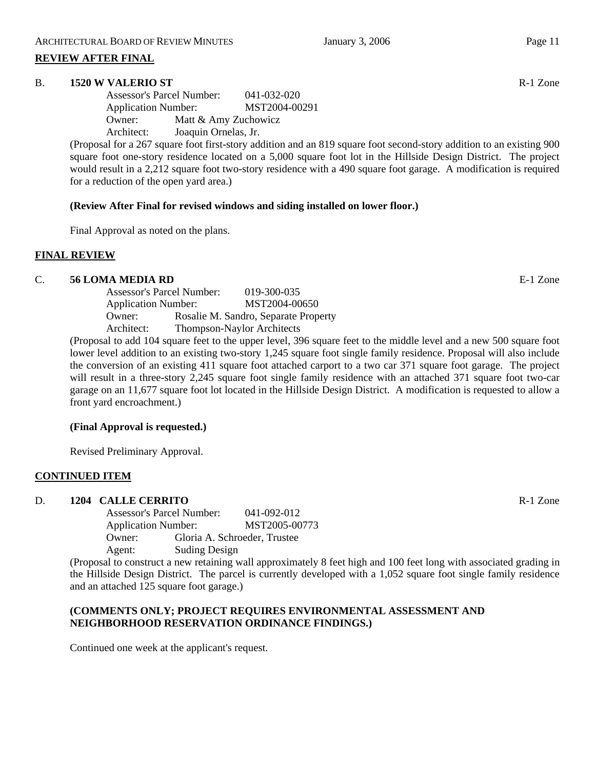# **REVIEW AFTER FINAL**

# B. **1520 W VALERIO ST** Research 2012 **Research 2013** Research 2013 **Research 2013** Research 2013 **Research 2013**

Assessor's Parcel Number: 041-032-020 Application Number: MST2004-00291 Owner: Matt & Amy Zuchowicz Architect: Joaquin Ornelas, Jr.

(Proposal for a 267 square foot first-story addition and an 819 square foot second-story addition to an existing 900 square foot one-story residence located on a 5,000 square foot lot in the Hillside Design District. The project would result in a 2,212 square foot two-story residence with a 490 square foot garage. A modification is required for a reduction of the open yard area.)

# **(Review After Final for revised windows and siding installed on lower floor.)**

Final Approval as noted on the plans.

# **FINAL REVIEW**

# C. **56 LOMA MEDIA RD** E-1 Zone

Assessor's Parcel Number: 019-300-035 Application Number: MST2004-00650 Owner: Rosalie M. Sandro, Separate Property Architect: Thompson-Naylor Architects

(Proposal to add 104 square feet to the upper level, 396 square feet to the middle level and a new 500 square foot lower level addition to an existing two-story 1,245 square foot single family residence. Proposal will also include the conversion of an existing 411 square foot attached carport to a two car 371 square foot garage. The project will result in a three-story 2,245 square foot single family residence with an attached 371 square foot two-car garage on an 11,677 square foot lot located in the Hillside Design District. A modification is requested to allow a front yard encroachment.)

# **(Final Approval is requested.)**

Revised Preliminary Approval.

# **CONTINUED ITEM**

# D. **1204 CALLE CERRITO** R-1 Zone

Assessor's Parcel Number: 041-092-012 Application Number: MST2005-00773 Owner: Gloria A. Schroeder, Trustee Agent: Suding Design

(Proposal to construct a new retaining wall approximately 8 feet high and 100 feet long with associated grading in the Hillside Design District. The parcel is currently developed with a 1,052 square foot single family residence and an attached 125 square foot garage.)

# **(COMMENTS ONLY; PROJECT REQUIRES ENVIRONMENTAL ASSESSMENT AND NEIGHBORHOOD RESERVATION ORDINANCE FINDINGS.)**

Continued one week at the applicant's request.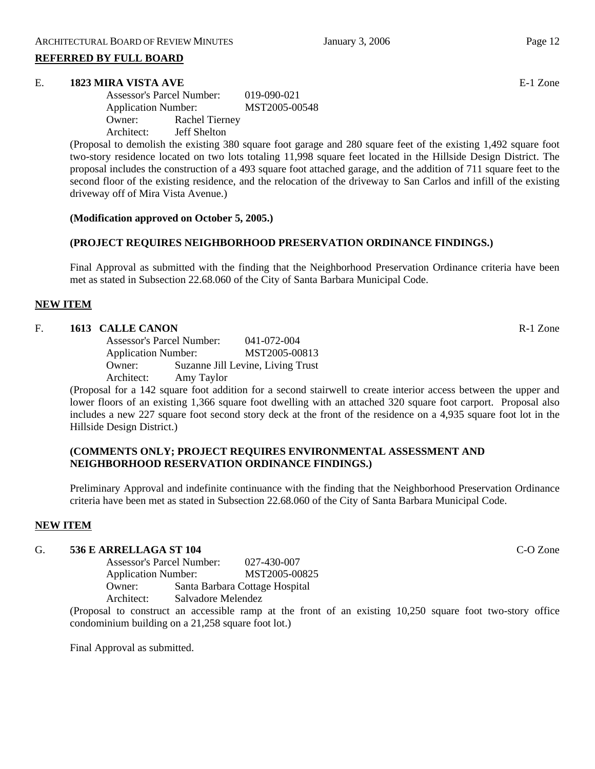# **REFERRED BY FULL BOARD**

# E. **1823 MIRA VISTA AVE** E-1 Zone

Assessor's Parcel Number: 019-090-021 Application Number: MST2005-00548 Owner: Rachel Tierney Architect: Jeff Shelton

(Proposal to demolish the existing 380 square foot garage and 280 square feet of the existing 1,492 square foot two-story residence located on two lots totaling 11,998 square feet located in the Hillside Design District. The proposal includes the construction of a 493 square foot attached garage, and the addition of 711 square feet to the second floor of the existing residence, and the relocation of the driveway to San Carlos and infill of the existing driveway off of Mira Vista Avenue.)

# **(Modification approved on October 5, 2005.)**

# **(PROJECT REQUIRES NEIGHBORHOOD PRESERVATION ORDINANCE FINDINGS.)**

Final Approval as submitted with the finding that the Neighborhood Preservation Ordinance criteria have been met as stated in Subsection 22.68.060 of the City of Santa Barbara Municipal Code.

# **NEW ITEM**

# F. **1613 CALLE CANON** R-1 Zone

Assessor's Parcel Number: 041-072-004 Application Number: MST2005-00813 Owner: Suzanne Jill Levine, Living Trust Architect: Amy Taylor

(Proposal for a 142 square foot addition for a second stairwell to create interior access between the upper and lower floors of an existing 1,366 square foot dwelling with an attached 320 square foot carport. Proposal also includes a new 227 square foot second story deck at the front of the residence on a 4,935 square foot lot in the Hillside Design District.)

# **(COMMENTS ONLY; PROJECT REQUIRES ENVIRONMENTAL ASSESSMENT AND NEIGHBORHOOD RESERVATION ORDINANCE FINDINGS.)**

Preliminary Approval and indefinite continuance with the finding that the Neighborhood Preservation Ordinance criteria have been met as stated in Subsection 22.68.060 of the City of Santa Barbara Municipal Code.

# **NEW ITEM**

# G. **536 E ARRELLAGA ST 104** C-O Zone

Assessor's Parcel Number: 027-430-007 Application Number: MST2005-00825 Owner: Santa Barbara Cottage Hospital Architect: Salvadore Melendez

(Proposal to construct an accessible ramp at the front of an existing 10,250 square foot two-story office condominium building on a 21,258 square foot lot.)

Final Approval as submitted.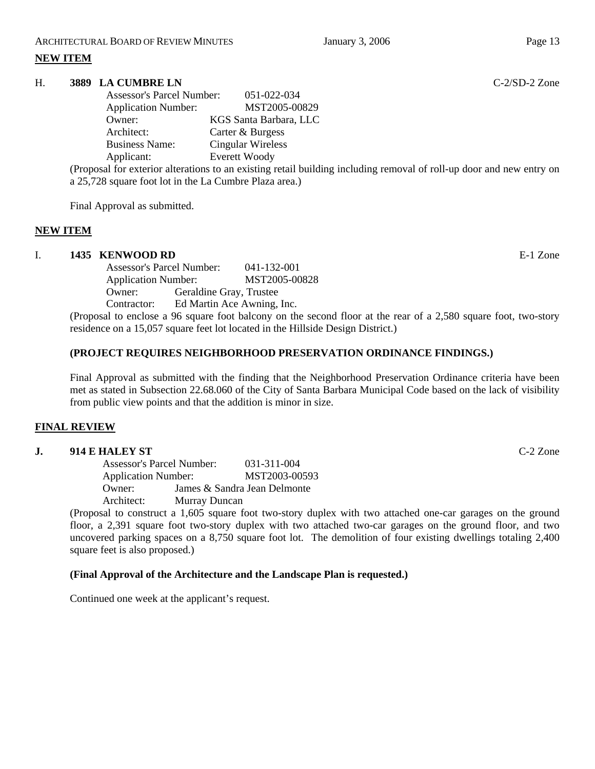# **NEW ITEM**

# H. **3889 LA CUMBRE LN** C-2/SD-2 Zone

| <b>Assessor's Parcel Number:</b> | $0.51 - 0.22 - 0.34$   |
|----------------------------------|------------------------|
| <b>Application Number:</b>       | MST2005-00829          |
| Owner:                           | KGS Santa Barbara, LLC |
| Architect:                       | Carter & Burgess       |
| <b>Business Name:</b>            | Cingular Wireless      |
| Applicant:                       | <b>Everett Woody</b>   |

(Proposal for exterior alterations to an existing retail building including removal of roll-up door and new entry on a 25,728 square foot lot in the La Cumbre Plaza area.)

Final Approval as submitted.

# **NEW ITEM**

# I. **1435 KENWOOD RD** E-1 Zone

Assessor's Parcel Number: 041-132-001 Application Number: MST2005-00828 Owner: Geraldine Gray, Trustee Contractor: Ed Martin Ace Awning, Inc.

(Proposal to enclose a 96 square foot balcony on the second floor at the rear of a 2,580 square foot, two-story residence on a 15,057 square feet lot located in the Hillside Design District.)

# **(PROJECT REQUIRES NEIGHBORHOOD PRESERVATION ORDINANCE FINDINGS.)**

Final Approval as submitted with the finding that the Neighborhood Preservation Ordinance criteria have been met as stated in Subsection 22.68.060 of the City of Santa Barbara Municipal Code based on the lack of visibility from public view points and that the addition is minor in size.

# **FINAL REVIEW**

# **J. 914 E HALEY ST** C-2 Zone

Assessor's Parcel Number: 031-311-004 Application Number: MST2003-00593 Owner: James & Sandra Jean Delmonte Architect: Murray Duncan

(Proposal to construct a 1,605 square foot two-story duplex with two attached one-car garages on the ground floor, a 2,391 square foot two-story duplex with two attached two-car garages on the ground floor, and two uncovered parking spaces on a 8,750 square foot lot. The demolition of four existing dwellings totaling 2,400 square feet is also proposed.)

# **(Final Approval of the Architecture and the Landscape Plan is requested.)**

Continued one week at the applicant's request.